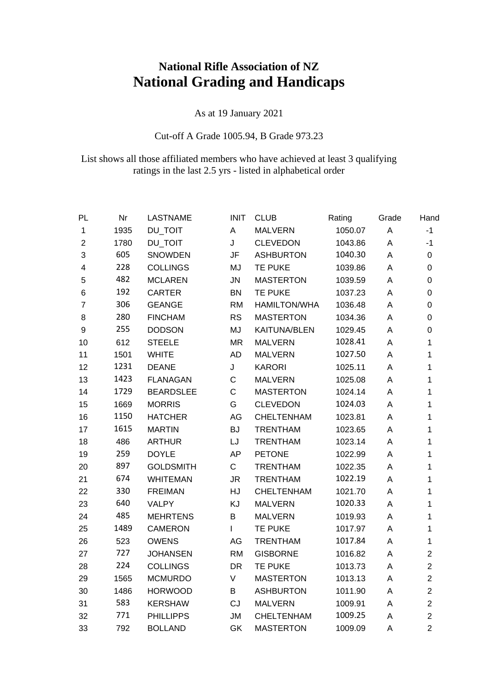## **National Rifle Association of NZ National Grading and Handicaps**

As at 19 January 2021

## Cut-off A Grade 1005.94, B Grade 973.23

## List shows all those affiliated members who have achieved at least 3 qualifying ratings in the last 2.5 yrs - listed in alphabetical order

| PL                      | Nr   | <b>LASTNAME</b>  | <b>INIT</b>  | <b>CLUB</b>         | Rating  | Grade | Hand           |
|-------------------------|------|------------------|--------------|---------------------|---------|-------|----------------|
| $\mathbf{1}$            | 1935 | <b>DU_TOIT</b>   | Α            | <b>MALVERN</b>      | 1050.07 | A     | $-1$           |
| $\overline{2}$          | 1780 | <b>DU_TOIT</b>   | J            | <b>CLEVEDON</b>     | 1043.86 | A     | $-1$           |
| 3                       | 605  | <b>SNOWDEN</b>   | JF           | <b>ASHBURTON</b>    | 1040.30 | Α     | 0              |
| $\overline{\mathbf{4}}$ | 228  | <b>COLLINGS</b>  | MJ           | TE PUKE             | 1039.86 | A     | 0              |
| 5                       | 482  | <b>MCLAREN</b>   | <b>JN</b>    | <b>MASTERTON</b>    | 1039.59 | Α     | 0              |
| 6                       | 192  | <b>CARTER</b>    | <b>BN</b>    | <b>TE PUKE</b>      | 1037.23 | A     | 0              |
| $\overline{7}$          | 306  | <b>GEANGE</b>    | <b>RM</b>    | <b>HAMILTON/WHA</b> | 1036.48 | A     | 0              |
| 8                       | 280  | <b>FINCHAM</b>   | <b>RS</b>    | <b>MASTERTON</b>    | 1034.36 | Α     | 0              |
| $\boldsymbol{9}$        | 255  | <b>DODSON</b>    | MJ           | <b>KAITUNA/BLEN</b> | 1029.45 | A     | 0              |
| 10                      | 612  | <b>STEELE</b>    | <b>MR</b>    | <b>MALVERN</b>      | 1028.41 | A     | 1              |
| 11                      | 1501 | <b>WHITE</b>     | <b>AD</b>    | <b>MALVERN</b>      | 1027.50 | Α     | 1              |
| 12                      | 1231 | <b>DEANE</b>     | J            | <b>KARORI</b>       | 1025.11 | A     | 1              |
| 13                      | 1423 | <b>FLANAGAN</b>  | $\mathsf{C}$ | <b>MALVERN</b>      | 1025.08 | A     | 1              |
| 14                      | 1729 | <b>BEARDSLEE</b> | $\mathsf{C}$ | <b>MASTERTON</b>    | 1024.14 | A     | 1              |
| 15                      | 1669 | <b>MORRIS</b>    | G            | <b>CLEVEDON</b>     | 1024.03 | Α     | 1              |
| 16                      | 1150 | <b>HATCHER</b>   | AG           | CHELTENHAM          | 1023.81 | A     | 1              |
| 17                      | 1615 | <b>MARTIN</b>    | <b>BJ</b>    | <b>TRENTHAM</b>     | 1023.65 | A     | 1              |
| 18                      | 486  | <b>ARTHUR</b>    | LJ           | <b>TRENTHAM</b>     | 1023.14 | A     | 1              |
| 19                      | 259  | <b>DOYLE</b>     | AP           | <b>PETONE</b>       | 1022.99 | A     | 1              |
| 20                      | 897  | <b>GOLDSMITH</b> | $\mathsf C$  | <b>TRENTHAM</b>     | 1022.35 | A     | 1              |
| 21                      | 674  | <b>WHITEMAN</b>  | JR.          | <b>TRENTHAM</b>     | 1022.19 | A     | 1              |
| 22                      | 330  | <b>FREIMAN</b>   | HJ           | CHELTENHAM          | 1021.70 | Α     | 1              |
| 23                      | 640  | <b>VALPY</b>     | KJ           | <b>MALVERN</b>      | 1020.33 | A     | 1              |
| 24                      | 485  | <b>MEHRTENS</b>  | B            | <b>MALVERN</b>      | 1019.93 | A     | 1              |
| 25                      | 1489 | <b>CAMERON</b>   | L            | TE PUKE             | 1017.97 | Α     | 1              |
| 26                      | 523  | <b>OWENS</b>     | AG           | <b>TRENTHAM</b>     | 1017.84 | A     | 1              |
| 27                      | 727  | <b>JOHANSEN</b>  | <b>RM</b>    | <b>GISBORNE</b>     | 1016.82 | Α     | $\overline{2}$ |
| 28                      | 224  | <b>COLLINGS</b>  | <b>DR</b>    | <b>TE PUKE</b>      | 1013.73 | A     | $\overline{2}$ |
| 29                      | 1565 | <b>MCMURDO</b>   | $\mathsf V$  | <b>MASTERTON</b>    | 1013.13 | A     | $\overline{2}$ |
| 30                      | 1486 | <b>HORWOOD</b>   | B            | <b>ASHBURTON</b>    | 1011.90 | A     | $\overline{2}$ |
| 31                      | 583  | <b>KERSHAW</b>   | CJ           | <b>MALVERN</b>      | 1009.91 | Α     | $\overline{2}$ |
| 32                      | 771  | <b>PHILLIPPS</b> | <b>JM</b>    | CHELTENHAM          | 1009.25 | A     | $\overline{2}$ |
| 33                      | 792  | <b>BOLLAND</b>   | <b>GK</b>    | <b>MASTERTON</b>    | 1009.09 | A     | $\overline{2}$ |
|                         |      |                  |              |                     |         |       |                |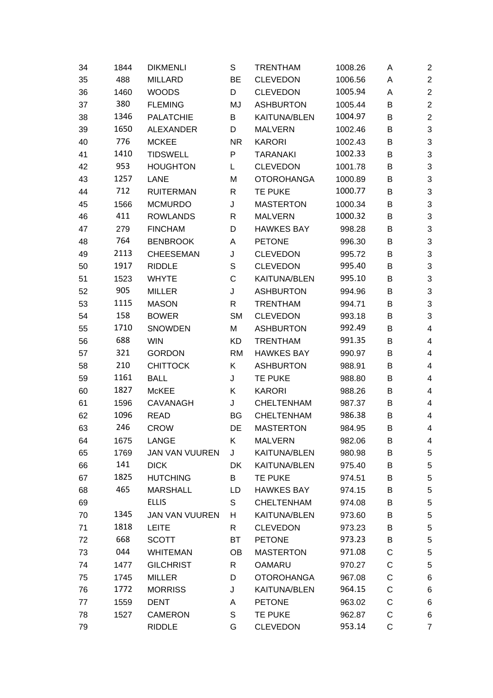| 34 | 1844 | <b>DIKMENLI</b>       | S         | <b>TRENTHAM</b>     | 1008.26 | A           | $\overline{\mathbf{c}}$   |
|----|------|-----------------------|-----------|---------------------|---------|-------------|---------------------------|
| 35 | 488  | <b>MILLARD</b>        | BE        | <b>CLEVEDON</b>     | 1006.56 | A           | $\boldsymbol{2}$          |
| 36 | 1460 | <b>WOODS</b>          | D         | <b>CLEVEDON</b>     | 1005.94 | A           | $\overline{c}$            |
| 37 | 380  | <b>FLEMING</b>        | MJ        | <b>ASHBURTON</b>    | 1005.44 | B           | $\boldsymbol{2}$          |
| 38 | 1346 | <b>PALATCHIE</b>      | B         | <b>KAITUNA/BLEN</b> | 1004.97 | В           | $\overline{c}$            |
| 39 | 1650 | <b>ALEXANDER</b>      | D         | <b>MALVERN</b>      | 1002.46 | B           | $\sqrt{3}$                |
| 40 | 776  | <b>MCKEE</b>          | <b>NR</b> | <b>KARORI</b>       | 1002.43 | B           | $\sqrt{3}$                |
| 41 | 1410 | <b>TIDSWELL</b>       | P         | <b>TARANAKI</b>     | 1002.33 | B           | $\ensuremath{\mathsf{3}}$ |
| 42 | 953  | <b>HOUGHTON</b>       | L         | <b>CLEVEDON</b>     | 1001.78 | В           | $\sqrt{3}$                |
| 43 | 1257 | <b>LANE</b>           | M         | <b>OTOROHANGA</b>   | 1000.89 | B           | $\ensuremath{\mathsf{3}}$ |
| 44 | 712  | <b>RUITERMAN</b>      | R         | <b>TE PUKE</b>      | 1000.77 | В           | $\sqrt{3}$                |
| 45 | 1566 | <b>MCMURDO</b>        | J         | <b>MASTERTON</b>    | 1000.34 | B           | $\ensuremath{\mathsf{3}}$ |
| 46 | 411  | <b>ROWLANDS</b>       | R         | <b>MALVERN</b>      | 1000.32 | B           | $\sqrt{3}$                |
| 47 | 279  | <b>FINCHAM</b>        | D         | <b>HAWKES BAY</b>   | 998.28  | В           | $\ensuremath{\mathsf{3}}$ |
| 48 | 764  | <b>BENBROOK</b>       | A         | <b>PETONE</b>       | 996.30  | В           | $\sqrt{3}$                |
| 49 | 2113 | <b>CHEESEMAN</b>      | J         | <b>CLEVEDON</b>     | 995.72  | B           | $\ensuremath{\mathsf{3}}$ |
| 50 | 1917 | <b>RIDDLE</b>         | S         | <b>CLEVEDON</b>     | 995.40  | B           | $\sqrt{3}$                |
| 51 | 1523 | <b>WHYTE</b>          | C         | <b>KAITUNA/BLEN</b> | 995.10  | В           | $\ensuremath{\mathsf{3}}$ |
| 52 | 905  | <b>MILLER</b>         | J         | <b>ASHBURTON</b>    | 994.96  | В           | $\sqrt{3}$                |
| 53 | 1115 | <b>MASON</b>          | R         | <b>TRENTHAM</b>     | 994.71  | B           | $\ensuremath{\mathsf{3}}$ |
| 54 | 158  | <b>BOWER</b>          | <b>SM</b> | <b>CLEVEDON</b>     | 993.18  | В           | $\sqrt{3}$                |
| 55 | 1710 | <b>SNOWDEN</b>        | M         | <b>ASHBURTON</b>    | 992.49  | В           | 4                         |
| 56 | 688  | <b>WIN</b>            | <b>KD</b> | <b>TRENTHAM</b>     | 991.35  | B           | 4                         |
| 57 | 321  | <b>GORDON</b>         | <b>RM</b> | <b>HAWKES BAY</b>   | 990.97  | B           | 4                         |
| 58 | 210  | <b>CHITTOCK</b>       | Κ         | <b>ASHBURTON</b>    | 988.91  | B           | 4                         |
| 59 | 1161 | <b>BALL</b>           | J         | <b>TE PUKE</b>      | 988.80  | В           | 4                         |
| 60 | 1827 | <b>McKEE</b>          | Κ         | <b>KARORI</b>       | 988.26  | В           | 4                         |
| 61 | 1596 | <b>CAVANAGH</b>       | J         | <b>CHELTENHAM</b>   | 987.37  | В           | 4                         |
| 62 | 1096 | <b>READ</b>           | BG        | <b>CHELTENHAM</b>   | 986.38  | В           | 4                         |
| 63 | 246  | <b>CROW</b>           | DE        | <b>MASTERTON</b>    | 984.95  | B           | 4                         |
| 64 | 1675 | LANGE                 | Κ         | <b>MALVERN</b>      | 982.06  | B           | 4                         |
| 65 | 1769 | <b>JAN VAN VUUREN</b> | J         | KAITUNA/BLEN        | 980.98  | B           | 5                         |
| 66 | 141  | <b>DICK</b>           | <b>DK</b> | <b>KAITUNA/BLEN</b> | 975.40  | B           | 5                         |
| 67 | 1825 | <b>HUTCHING</b>       | B         | <b>TE PUKE</b>      | 974.51  | В           | 5                         |
| 68 | 465  | <b>MARSHALL</b>       | LD.       | <b>HAWKES BAY</b>   | 974.15  | B           | 5                         |
| 69 |      | <b>ELLIS</b>          | S         | <b>CHELTENHAM</b>   | 974.08  | В           | 5                         |
| 70 | 1345 | <b>JAN VAN VUUREN</b> | H         | KAITUNA/BLEN        | 973.60  | B           | 5                         |
| 71 | 1818 | <b>LEITE</b>          | R         | <b>CLEVEDON</b>     | 973.23  | B           | 5                         |
| 72 | 668  | <b>SCOTT</b>          | <b>BT</b> | <b>PETONE</b>       | 973.23  | В           | 5                         |
| 73 | 044  | <b>WHITEMAN</b>       | <b>OB</b> | <b>MASTERTON</b>    | 971.08  | C           | 5                         |
| 74 | 1477 | <b>GILCHRIST</b>      | R         | <b>OAMARU</b>       | 970.27  | C           | 5                         |
| 75 | 1745 | <b>MILLER</b>         | D         | <b>OTOROHANGA</b>   | 967.08  | C           | 6                         |
| 76 | 1772 | <b>MORRISS</b>        | J         | KAITUNA/BLEN        | 964.15  | C           | 6                         |
| 77 | 1559 | <b>DENT</b>           | A         | <b>PETONE</b>       | 963.02  | C           | 6                         |
| 78 | 1527 | <b>CAMERON</b>        | S         | TE PUKE             | 962.87  | C           | 6                         |
| 79 |      | <b>RIDDLE</b>         | G         | <b>CLEVEDON</b>     | 953.14  | $\mathsf C$ | 7                         |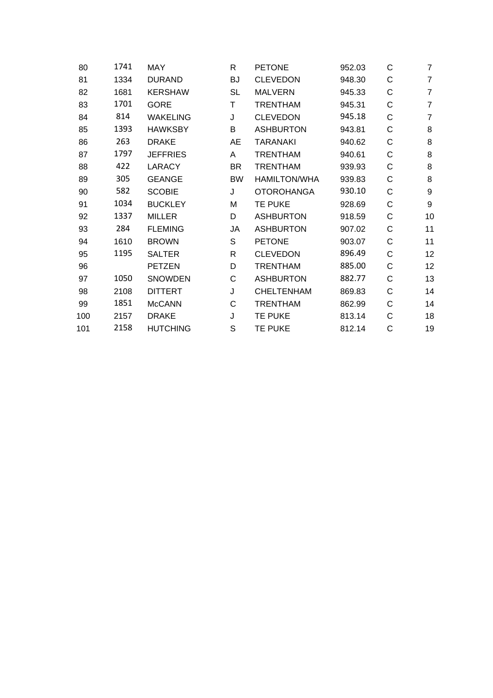| 1741 | MAY             | R            | <b>PETONE</b>       | 952.03 | C | 7              |
|------|-----------------|--------------|---------------------|--------|---|----------------|
| 1334 | <b>DURAND</b>   | <b>BJ</b>    | <b>CLEVEDON</b>     | 948.30 | С | $\overline{7}$ |
| 1681 | <b>KERSHAW</b>  | <b>SL</b>    | <b>MALVERN</b>      | 945.33 | С | $\overline{7}$ |
| 1701 | <b>GORE</b>     | Τ            | <b>TRENTHAM</b>     | 945.31 | С | $\overline{7}$ |
| 814  | <b>WAKELING</b> | J            | <b>CLEVEDON</b>     | 945.18 | C | $\overline{7}$ |
| 1393 | <b>HAWKSBY</b>  | B            | <b>ASHBURTON</b>    | 943.81 | С | 8              |
| 263  | <b>DRAKE</b>    | AE           | <b>TARANAKI</b>     | 940.62 | C | 8              |
| 1797 | <b>JEFFRIES</b> | A            | <b>TRENTHAM</b>     | 940.61 | C | 8              |
| 422  | <b>LARACY</b>   | <b>BR</b>    | <b>TRENTHAM</b>     | 939.93 | C | 8              |
| 305  | <b>GEANGE</b>   | <b>BW</b>    | <b>HAMILTON/WHA</b> | 939.83 | С | 8              |
| 582  | <b>SCOBIE</b>   | J            | <b>OTOROHANGA</b>   | 930.10 | С | 9              |
| 1034 | <b>BUCKLEY</b>  | M            | <b>TE PUKE</b>      | 928.69 | C | 9              |
| 1337 | <b>MILLER</b>   | D            | <b>ASHBURTON</b>    | 918.59 | С | 10             |
| 284  | <b>FLEMING</b>  | JA           | <b>ASHBURTON</b>    | 907.02 | C | 11             |
| 1610 | <b>BROWN</b>    | S            | <b>PETONE</b>       | 903.07 | C | 11             |
| 1195 | <b>SALTER</b>   | R            | <b>CLEVEDON</b>     | 896.49 | C | 12             |
|      | <b>PETZEN</b>   | D            | <b>TRENTHAM</b>     | 885.00 | C | 12             |
| 1050 | <b>SNOWDEN</b>  | C            | <b>ASHBURTON</b>    | 882.77 | C | 13             |
| 2108 | <b>DITTERT</b>  | J            | <b>CHELTENHAM</b>   | 869.83 | C | 14             |
| 1851 | <b>McCANN</b>   | $\mathsf{C}$ | <b>TRENTHAM</b>     | 862.99 | С | 14             |
| 2157 | <b>DRAKE</b>    | J            | <b>TE PUKE</b>      | 813.14 | C | 18             |
| 2158 | <b>HUTCHING</b> | S            | TE PUKE             | 812.14 | C | 19             |
|      |                 |              |                     |        |   |                |